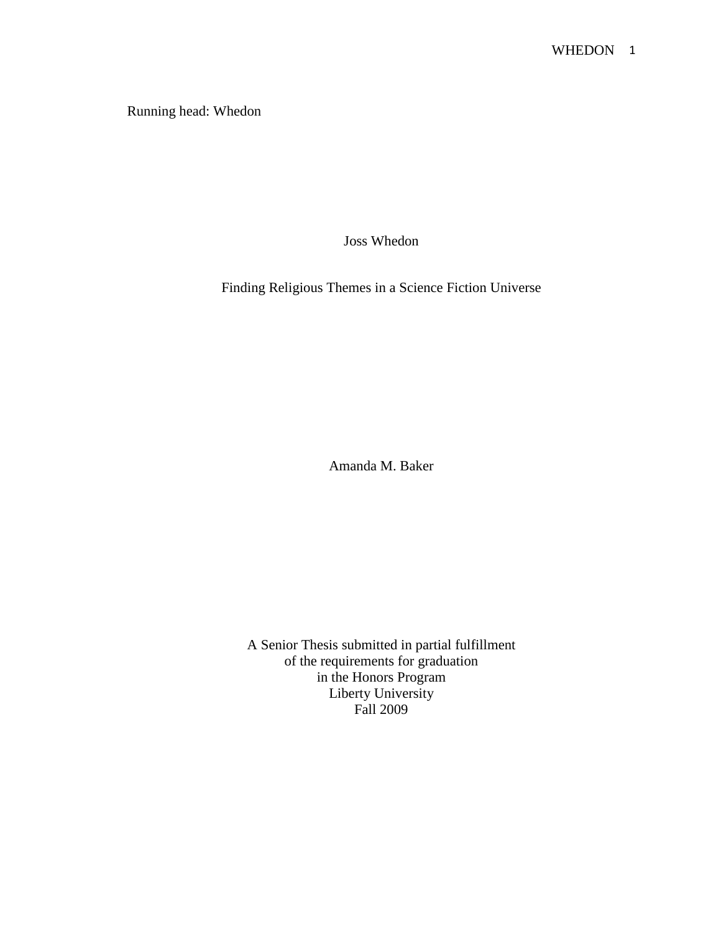Running head: Whedon

Joss Whedon

Finding Religious Themes in a Science Fiction Universe

Amanda M. Baker

A Senior Thesis submitted in partial fulfillment of the requirements for graduation in the Honors Program Liberty University Fall 2009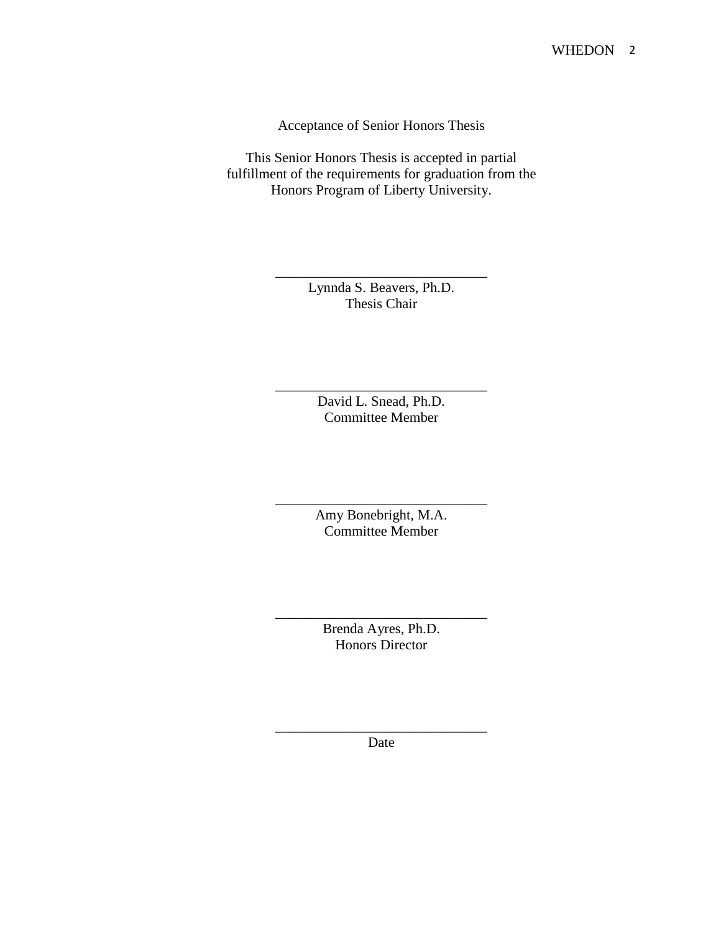Acceptance of Senior Honors Thesis

This Senior Honors Thesis is accepted in partial fulfillment of the requirements for graduation from the Honors Program of Liberty University.

> Lynnda S. Beavers, Ph.D. Thesis Chair

\_\_\_\_\_\_\_\_\_\_\_\_\_\_\_\_\_\_\_\_\_\_\_\_\_\_\_\_\_\_

David L. Snead, Ph.D. Committee Member

\_\_\_\_\_\_\_\_\_\_\_\_\_\_\_\_\_\_\_\_\_\_\_\_\_\_\_\_\_\_

Amy Bonebright, M.A. Committee Member

\_\_\_\_\_\_\_\_\_\_\_\_\_\_\_\_\_\_\_\_\_\_\_\_\_\_\_\_\_\_

Brenda Ayres, Ph.D. Honors Director

\_\_\_\_\_\_\_\_\_\_\_\_\_\_\_\_\_\_\_\_\_\_\_\_\_\_\_\_\_\_

\_\_\_\_\_\_\_\_\_\_\_\_\_\_\_\_\_\_\_\_\_\_\_\_\_\_\_\_\_\_ Date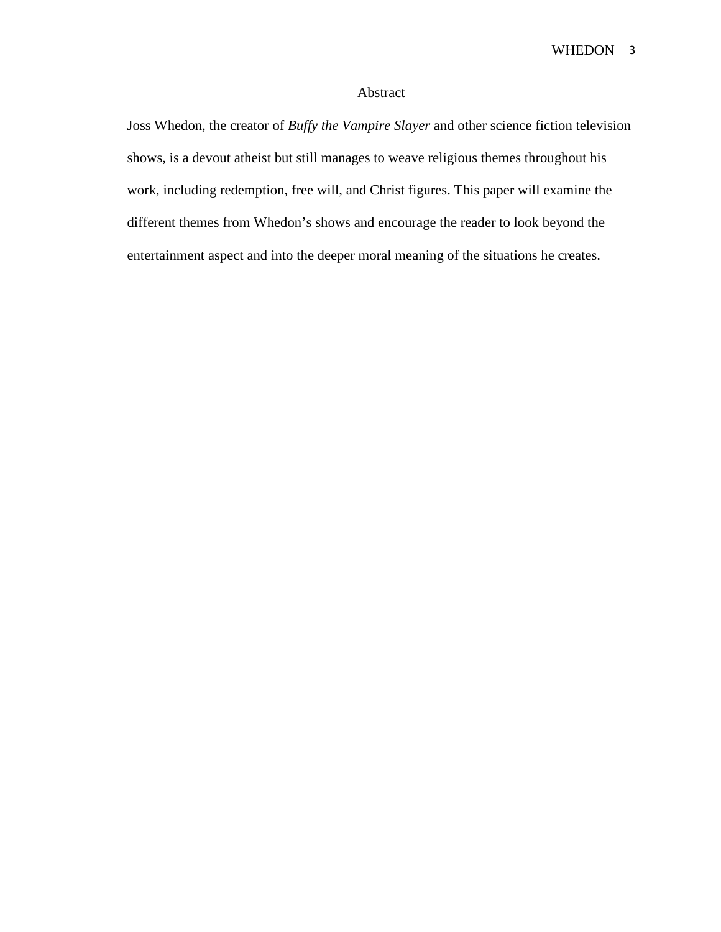# Abstract

Joss Whedon, the creator of *Buffy the Vampire Slayer* and other science fiction television shows, is a devout atheist but still manages to weave religious themes throughout his work, including redemption, free will, and Christ figures. This paper will examine the different themes from Whedon's shows and encourage the reader to look beyond the entertainment aspect and into the deeper moral meaning of the situations he creates.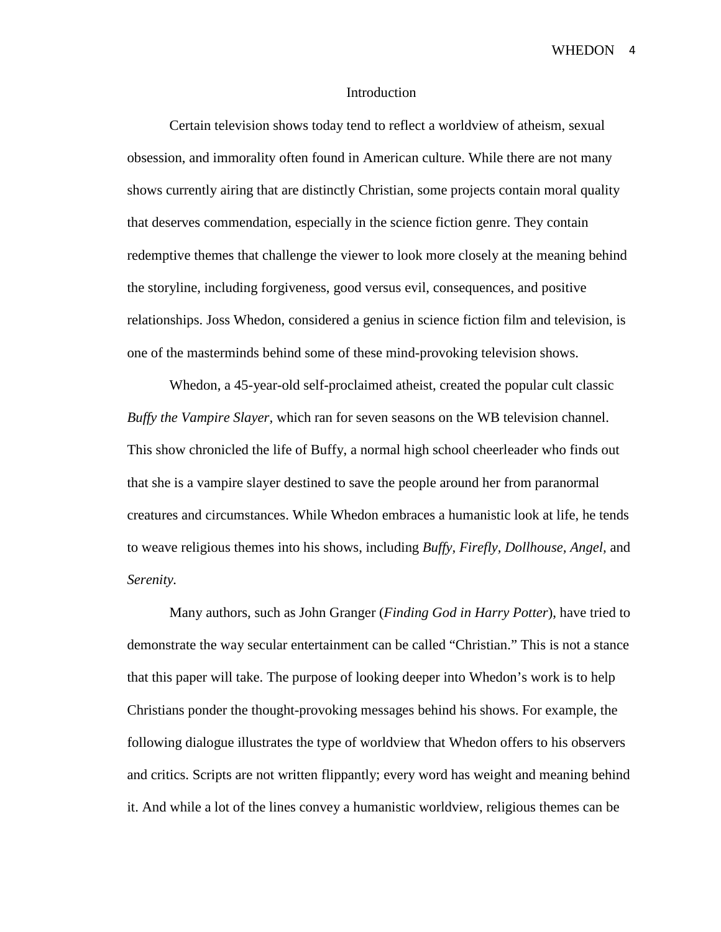#### Introduction

Certain television shows today tend to reflect a worldview of atheism, sexual obsession, and immorality often found in American culture. While there are not many shows currently airing that are distinctly Christian, some projects contain moral quality that deserves commendation, especially in the science fiction genre. They contain redemptive themes that challenge the viewer to look more closely at the meaning behind the storyline, including forgiveness, good versus evil, consequences, and positive relationships. Joss Whedon, considered a genius in science fiction film and television, is one of the masterminds behind some of these mind-provoking television shows.

Whedon, a 45-year-old self-proclaimed atheist, created the popular cult classic *Buffy the Vampire Slayer,* which ran for seven seasons on the WB television channel. This show chronicled the life of Buffy, a normal high school cheerleader who finds out that she is a vampire slayer destined to save the people around her from paranormal creatures and circumstances. While Whedon embraces a humanistic look at life, he tends to weave religious themes into his shows, including *Buffy, Firefly, Dollhouse, Angel,* and *Serenity.*

Many authors, such as John Granger (*Finding God in Harry Potter*), have tried to demonstrate the way secular entertainment can be called "Christian." This is not a stance that this paper will take. The purpose of looking deeper into Whedon's work is to help Christians ponder the thought-provoking messages behind his shows. For example, the following dialogue illustrates the type of worldview that Whedon offers to his observers and critics. Scripts are not written flippantly; every word has weight and meaning behind it. And while a lot of the lines convey a humanistic worldview, religious themes can be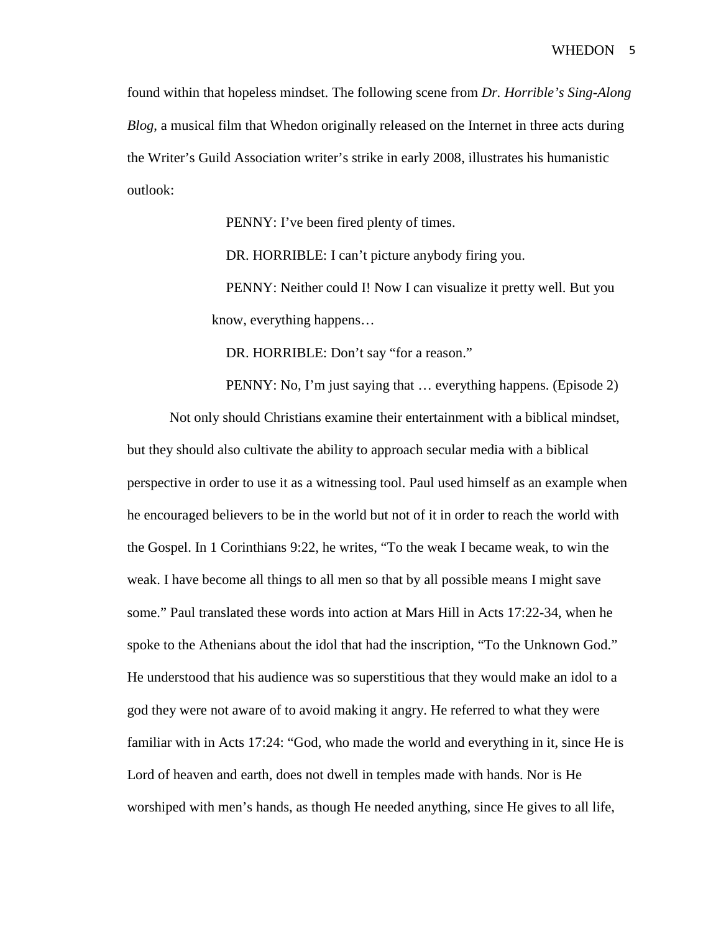found within that hopeless mindset. The following scene from *Dr. Horrible's Sing-Along Blog*, a musical film that Whedon originally released on the Internet in three acts during the Writer's Guild Association writer's strike in early 2008, illustrates his humanistic outlook:

PENNY: I've been fired plenty of times.

DR. HORRIBLE: I can't picture anybody firing you.

 PENNY: Neither could I! Now I can visualize it pretty well. But you know, everything happens…

DR. HORRIBLE: Don't say "for a reason."

 PENNY: No, I'm just saying that … everything happens. (Episode 2) Not only should Christians examine their entertainment with a biblical mindset, but they should also cultivate the ability to approach secular media with a biblical perspective in order to use it as a witnessing tool. Paul used himself as an example when he encouraged believers to be in the world but not of it in order to reach the world with the Gospel. In 1 Corinthians 9:22, he writes, "To the weak I became weak, to win the weak. I have become all things to all men so that by all possible means I might save some." Paul translated these words into action at Mars Hill in Acts 17:22-34, when he spoke to the Athenians about the idol that had the inscription, "To the Unknown God." He understood that his audience was so superstitious that they would make an idol to a god they were not aware of to avoid making it angry. He referred to what they were familiar with in Acts 17:24: "God, who made the world and everything in it, since He is Lord of heaven and earth, does not dwell in temples made with hands. Nor is He worshiped with men's hands, as though He needed anything, since He gives to all life,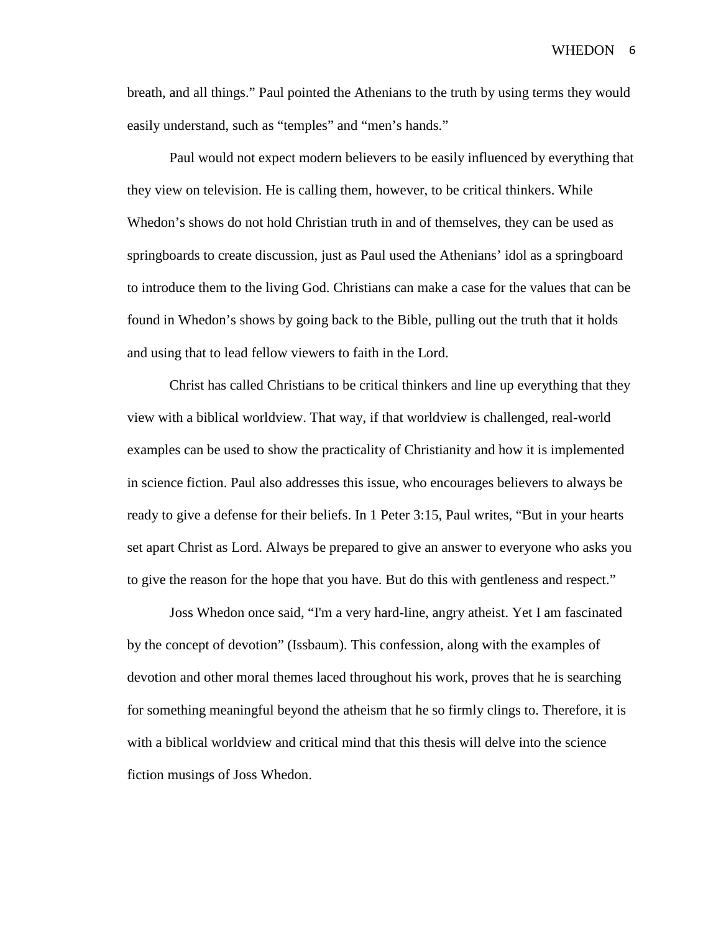breath, and all things." Paul pointed the Athenians to the truth by using terms they would easily understand, such as "temples" and "men's hands."

Paul would not expect modern believers to be easily influenced by everything that they view on television. He is calling them, however, to be critical thinkers. While Whedon's shows do not hold Christian truth in and of themselves, they can be used as springboards to create discussion, just as Paul used the Athenians' idol as a springboard to introduce them to the living God. Christians can make a case for the values that can be found in Whedon's shows by going back to the Bible, pulling out the truth that it holds and using that to lead fellow viewers to faith in the Lord.

Christ has called Christians to be critical thinkers and line up everything that they view with a biblical worldview. That way, if that worldview is challenged, real-world examples can be used to show the practicality of Christianity and how it is implemented in science fiction. Paul also addresses this issue, who encourages believers to always be ready to give a defense for their beliefs. In 1 Peter 3:15, Paul writes, "But in your hearts set apart Christ as Lord. Always be prepared to give an answer to everyone who asks you to give the reason for the hope that you have. But do this with gentleness and respect."

Joss Whedon once said, "I'm a very hard-line, angry atheist. Yet I am fascinated by the concept of devotion" (Issbaum). This confession, along with the examples of devotion and other moral themes laced throughout his work, proves that he is searching for something meaningful beyond the atheism that he so firmly clings to. Therefore, it is with a biblical worldview and critical mind that this thesis will delve into the science fiction musings of Joss Whedon.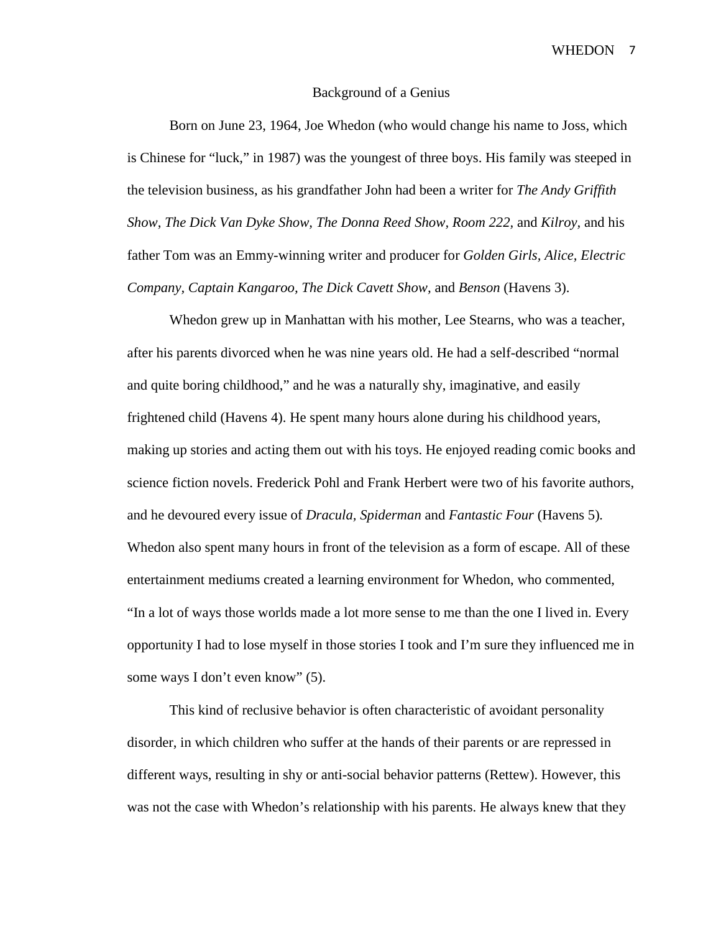WHEDON<sub>7</sub>

### Background of a Genius

Born on June 23, 1964, Joe Whedon (who would change his name to Joss, which is Chinese for "luck," in 1987) was the youngest of three boys. His family was steeped in the television business, as his grandfather John had been a writer for *The Andy Griffith Show*, *The Dick Van Dyke Show, The Donna Reed Show, Room 222,* and *Kilroy,* and his father Tom was an Emmy-winning writer and producer for *Golden Girls, Alice, Electric Company, Captain Kangaroo, The Dick Cavett Show,* and *Benson* (Havens 3).

Whedon grew up in Manhattan with his mother, Lee Stearns, who was a teacher, after his parents divorced when he was nine years old. He had a self-described "normal and quite boring childhood," and he was a naturally shy, imaginative, and easily frightened child (Havens 4). He spent many hours alone during his childhood years, making up stories and acting them out with his toys. He enjoyed reading comic books and science fiction novels. Frederick Pohl and Frank Herbert were two of his favorite authors, and he devoured every issue of *Dracula, Spiderman* and *Fantastic Four* (Havens 5)*.* Whedon also spent many hours in front of the television as a form of escape. All of these entertainment mediums created a learning environment for Whedon, who commented, "In a lot of ways those worlds made a lot more sense to me than the one I lived in. Every opportunity I had to lose myself in those stories I took and I'm sure they influenced me in some ways I don't even know" (5).

This kind of reclusive behavior is often characteristic of avoidant personality disorder, in which children who suffer at the hands of their parents or are repressed in different ways, resulting in shy or anti-social behavior patterns (Rettew). However, this was not the case with Whedon's relationship with his parents. He always knew that they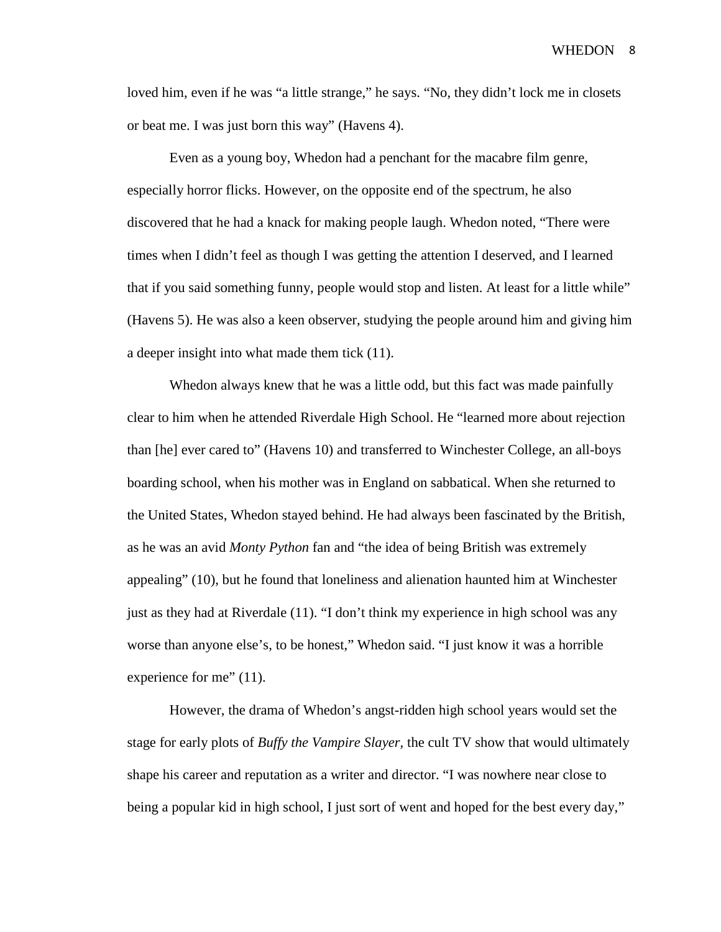loved him, even if he was "a little strange," he says. "No, they didn't lock me in closets or beat me. I was just born this way" (Havens 4).

Even as a young boy, Whedon had a penchant for the macabre film genre, especially horror flicks. However, on the opposite end of the spectrum, he also discovered that he had a knack for making people laugh. Whedon noted, "There were times when I didn't feel as though I was getting the attention I deserved, and I learned that if you said something funny, people would stop and listen. At least for a little while" (Havens 5). He was also a keen observer, studying the people around him and giving him a deeper insight into what made them tick (11).

Whedon always knew that he was a little odd, but this fact was made painfully clear to him when he attended Riverdale High School. He "learned more about rejection than [he] ever cared to" (Havens 10) and transferred to Winchester College, an all-boys boarding school, when his mother was in England on sabbatical. When she returned to the United States, Whedon stayed behind. He had always been fascinated by the British, as he was an avid *Monty Python* fan and "the idea of being British was extremely appealing" (10), but he found that loneliness and alienation haunted him at Winchester just as they had at Riverdale (11). "I don't think my experience in high school was any worse than anyone else's, to be honest," Whedon said. "I just know it was a horrible experience for me"  $(11)$ .

However, the drama of Whedon's angst-ridden high school years would set the stage for early plots of *Buffy the Vampire Slayer,* the cult TV show that would ultimately shape his career and reputation as a writer and director. "I was nowhere near close to being a popular kid in high school, I just sort of went and hoped for the best every day,"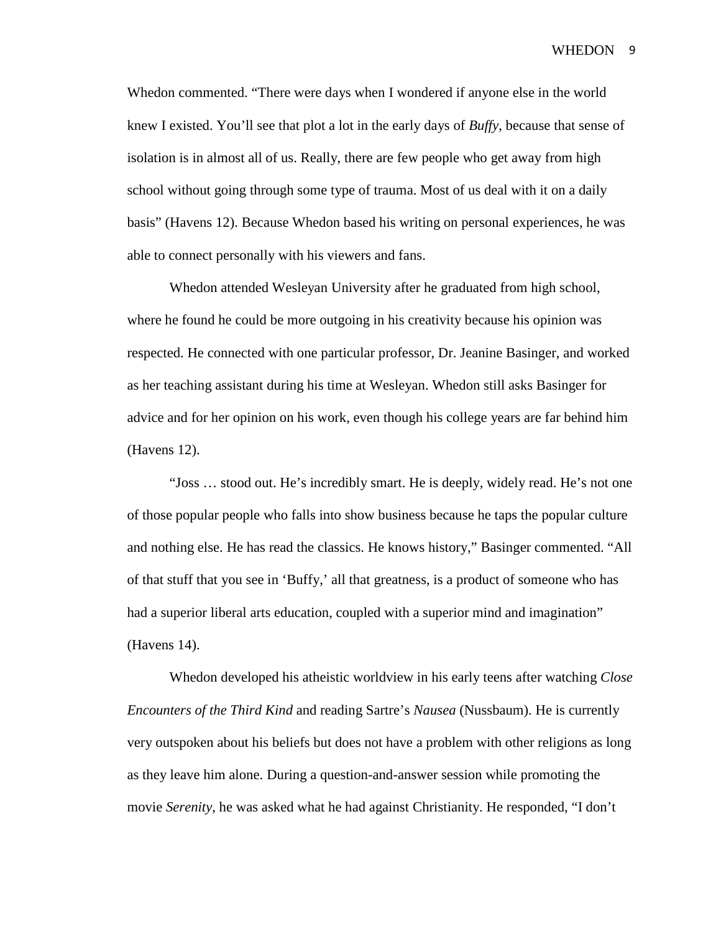Whedon commented. "There were days when I wondered if anyone else in the world knew I existed. You'll see that plot a lot in the early days of *Buffy*, because that sense of isolation is in almost all of us. Really, there are few people who get away from high school without going through some type of trauma. Most of us deal with it on a daily basis" (Havens 12). Because Whedon based his writing on personal experiences, he was able to connect personally with his viewers and fans.

Whedon attended Wesleyan University after he graduated from high school, where he found he could be more outgoing in his creativity because his opinion was respected. He connected with one particular professor, Dr. Jeanine Basinger, and worked as her teaching assistant during his time at Wesleyan. Whedon still asks Basinger for advice and for her opinion on his work, even though his college years are far behind him (Havens 12).

"Joss … stood out. He's incredibly smart. He is deeply, widely read. He's not one of those popular people who falls into show business because he taps the popular culture and nothing else. He has read the classics. He knows history," Basinger commented. "All of that stuff that you see in 'Buffy,' all that greatness, is a product of someone who has had a superior liberal arts education, coupled with a superior mind and imagination" (Havens 14).

Whedon developed his atheistic worldview in his early teens after watching *Close Encounters of the Third Kind* and reading Sartre's *Nausea* (Nussbaum). He is currently very outspoken about his beliefs but does not have a problem with other religions as long as they leave him alone. During a question-and-answer session while promoting the movie *Serenity*, he was asked what he had against Christianity. He responded, "I don't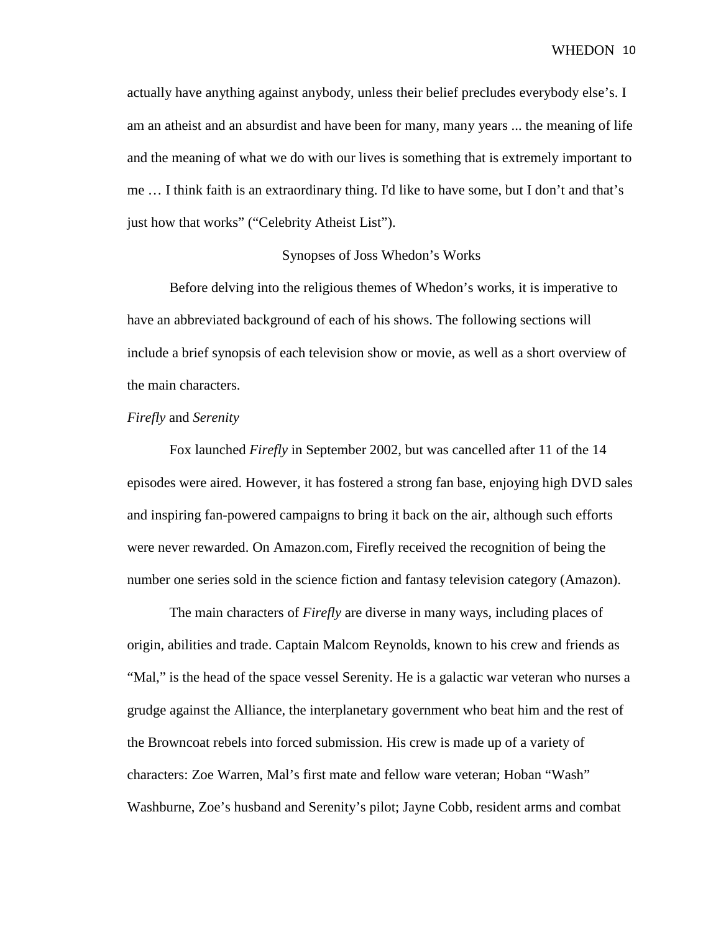actually have anything against anybody, unless their belief precludes everybody else's. I am an atheist and an absurdist and have been for many, many years ... the meaning of life and the meaning of what we do with our lives is something that is extremely important to me … I think faith is an extraordinary thing. I'd like to have some, but I don't and that's just how that works" ("Celebrity Atheist List").

## Synopses of Joss Whedon's Works

Before delving into the religious themes of Whedon's works, it is imperative to have an abbreviated background of each of his shows. The following sections will include a brief synopsis of each television show or movie, as well as a short overview of the main characters.

## *Firefly* and *Serenity*

Fox launched *Firefly* in September 2002, but was cancelled after 11 of the 14 episodes were aired. However, it has fostered a strong fan base, enjoying high DVD sales and inspiring fan-powered campaigns to bring it back on the air, although such efforts were never rewarded. On Amazon.com, Firefly received the recognition of being the number one series sold in the science fiction and fantasy television category (Amazon).

The main characters of *Firefly* are diverse in many ways, including places of origin, abilities and trade. Captain Malcom Reynolds, known to his crew and friends as "Mal," is the head of the space vessel Serenity. He is a galactic war veteran who nurses a grudge against the Alliance, the interplanetary government who beat him and the rest of the Browncoat rebels into forced submission. His crew is made up of a variety of characters: Zoe Warren, Mal's first mate and fellow ware veteran; Hoban "Wash" Washburne, Zoe's husband and Serenity's pilot; Jayne Cobb, resident arms and combat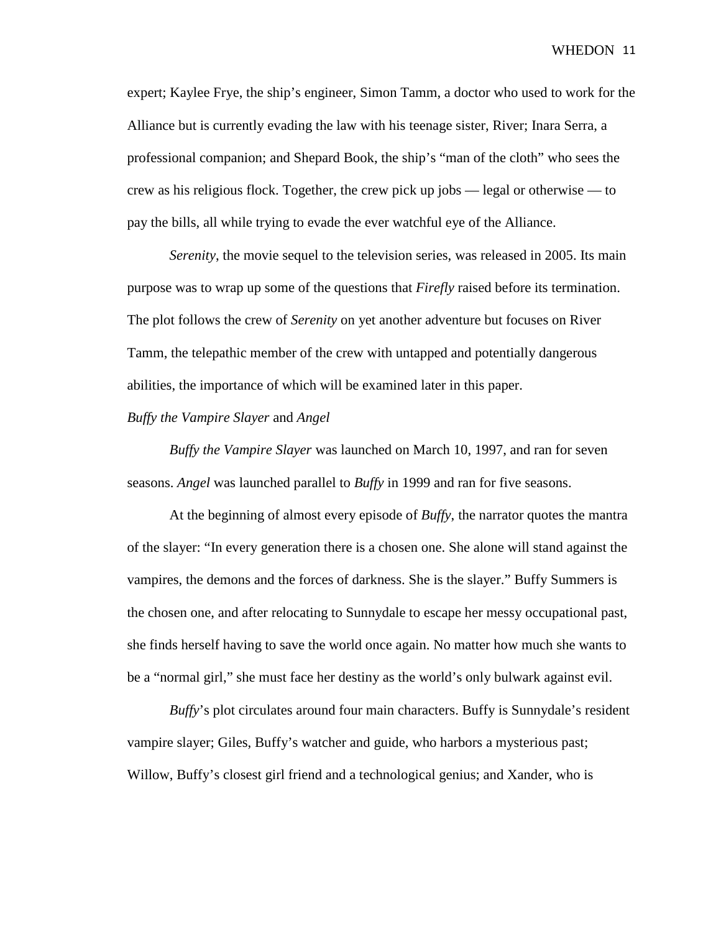expert; Kaylee Frye, the ship's engineer, Simon Tamm, a doctor who used to work for the Alliance but is currently evading the law with his teenage sister, River; Inara Serra, a professional companion; and Shepard Book, the ship's "man of the cloth" who sees the crew as his religious flock. Together, the crew pick up jobs — legal or otherwise — to pay the bills, all while trying to evade the ever watchful eye of the Alliance.

*Serenity*, the movie sequel to the television series, was released in 2005. Its main purpose was to wrap up some of the questions that *Firefly* raised before its termination. The plot follows the crew of *Serenity* on yet another adventure but focuses on River Tamm, the telepathic member of the crew with untapped and potentially dangerous abilities, the importance of which will be examined later in this paper.

#### *Buffy the Vampire Slayer* and *Angel*

*Buffy the Vampire Slayer* was launched on March 10, 1997, and ran for seven seasons. *Angel* was launched parallel to *Buffy* in 1999 and ran for five seasons.

At the beginning of almost every episode of *Buffy*, the narrator quotes the mantra of the slayer: "In every generation there is a chosen one. She alone will stand against the vampires, the demons and the forces of darkness. She is the slayer." Buffy Summers is the chosen one, and after relocating to Sunnydale to escape her messy occupational past, she finds herself having to save the world once again. No matter how much she wants to be a "normal girl," she must face her destiny as the world's only bulwark against evil.

*Buffy*'s plot circulates around four main characters. Buffy is Sunnydale's resident vampire slayer; Giles, Buffy's watcher and guide, who harbors a mysterious past; Willow, Buffy's closest girl friend and a technological genius; and Xander, who is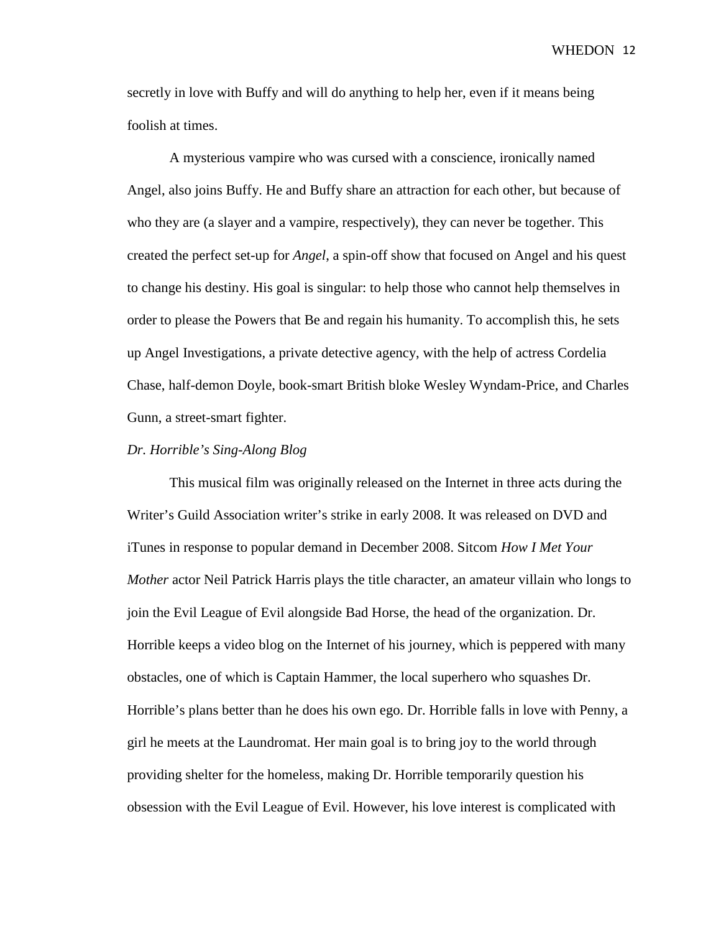secretly in love with Buffy and will do anything to help her, even if it means being foolish at times.

A mysterious vampire who was cursed with a conscience, ironically named Angel, also joins Buffy. He and Buffy share an attraction for each other, but because of who they are (a slayer and a vampire, respectively), they can never be together. This created the perfect set-up for *Angel*, a spin-off show that focused on Angel and his quest to change his destiny. His goal is singular: to help those who cannot help themselves in order to please the Powers that Be and regain his humanity. To accomplish this, he sets up Angel Investigations, a private detective agency, with the help of actress Cordelia Chase, half-demon Doyle, book-smart British bloke Wesley Wyndam-Price, and Charles Gunn, a street-smart fighter.

## *Dr. Horrible's Sing-Along Blog*

This musical film was originally released on the Internet in three acts during the Writer's Guild Association writer's strike in early 2008. It was released on DVD and iTunes in response to popular demand in December 2008. Sitcom *How I Met Your Mother* actor Neil Patrick Harris plays the title character, an amateur villain who longs to join the Evil League of Evil alongside Bad Horse, the head of the organization. Dr. Horrible keeps a video blog on the Internet of his journey, which is peppered with many obstacles, one of which is Captain Hammer, the local superhero who squashes Dr. Horrible's plans better than he does his own ego. Dr. Horrible falls in love with Penny, a girl he meets at the Laundromat. Her main goal is to bring joy to the world through providing shelter for the homeless, making Dr. Horrible temporarily question his obsession with the Evil League of Evil. However, his love interest is complicated with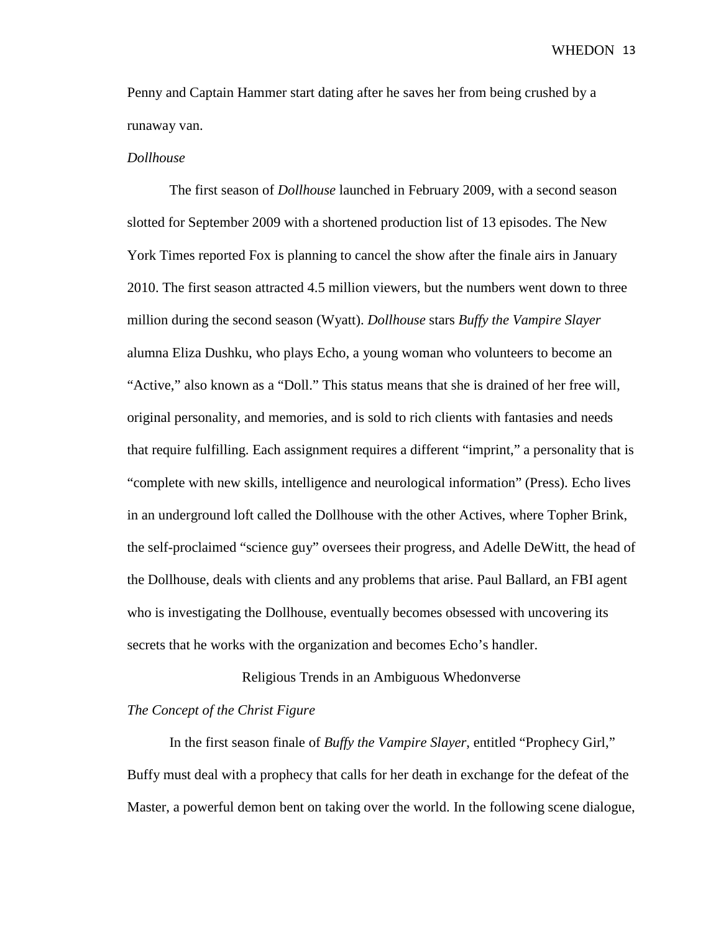Penny and Captain Hammer start dating after he saves her from being crushed by a runaway van.

# *Dollhouse*

The first season of *Dollhouse* launched in February 2009, with a second season slotted for September 2009 with a shortened production list of 13 episodes. The New York Times reported Fox is planning to cancel the show after the finale airs in January 2010. The first season attracted 4.5 million viewers, but the numbers went down to three million during the second season (Wyatt). *Dollhouse* stars *Buffy the Vampire Slayer*  alumna Eliza Dushku, who plays Echo, a young woman who volunteers to become an "Active," also known as a "Doll." This status means that she is drained of her free will, original personality, and memories, and is sold to rich clients with fantasies and needs that require fulfilling. Each assignment requires a different "imprint," a personality that is "complete with new skills, intelligence and neurological information" (Press). Echo lives in an underground loft called the Dollhouse with the other Actives, where Topher Brink, the self-proclaimed "science guy" oversees their progress, and Adelle DeWitt, the head of the Dollhouse, deals with clients and any problems that arise. Paul Ballard, an FBI agent who is investigating the Dollhouse, eventually becomes obsessed with uncovering its secrets that he works with the organization and becomes Echo's handler.

#### Religious Trends in an Ambiguous Whedonverse

# *The Concept of the Christ Figure*

 In the first season finale of *Buffy the Vampire Slayer*, entitled "Prophecy Girl," Buffy must deal with a prophecy that calls for her death in exchange for the defeat of the Master, a powerful demon bent on taking over the world. In the following scene dialogue,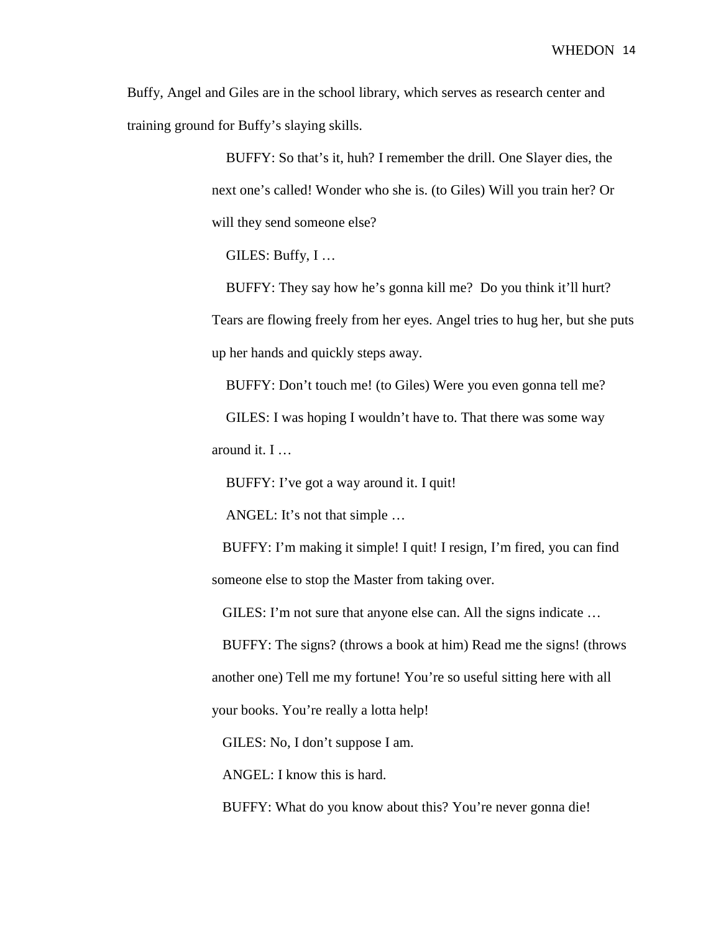Buffy, Angel and Giles are in the school library, which serves as research center and training ground for Buffy's slaying skills.

> BUFFY: So that's it, huh? I remember the drill. One Slayer dies, the next one's called! Wonder who she is. (to Giles) Will you train her? Or will they send someone else?

GILES: Buffy, I …

 BUFFY: They say how he's gonna kill me? Do you think it'll hurt? Tears are flowing freely from her eyes. Angel tries to hug her, but she puts up her hands and quickly steps away.

BUFFY: Don't touch me! (to Giles) Were you even gonna tell me?

 GILES: I was hoping I wouldn't have to. That there was some way around it. I …

BUFFY: I've got a way around it. I quit!

ANGEL: It's not that simple …

 BUFFY: I'm making it simple! I quit! I resign, I'm fired, you can find someone else to stop the Master from taking over.

GILES: I'm not sure that anyone else can. All the signs indicate …

 BUFFY: The signs? (throws a book at him) Read me the signs! (throws another one) Tell me my fortune! You're so useful sitting here with all your books. You're really a lotta help!

GILES: No, I don't suppose I am.

ANGEL: I know this is hard.

BUFFY: What do you know about this? You're never gonna die!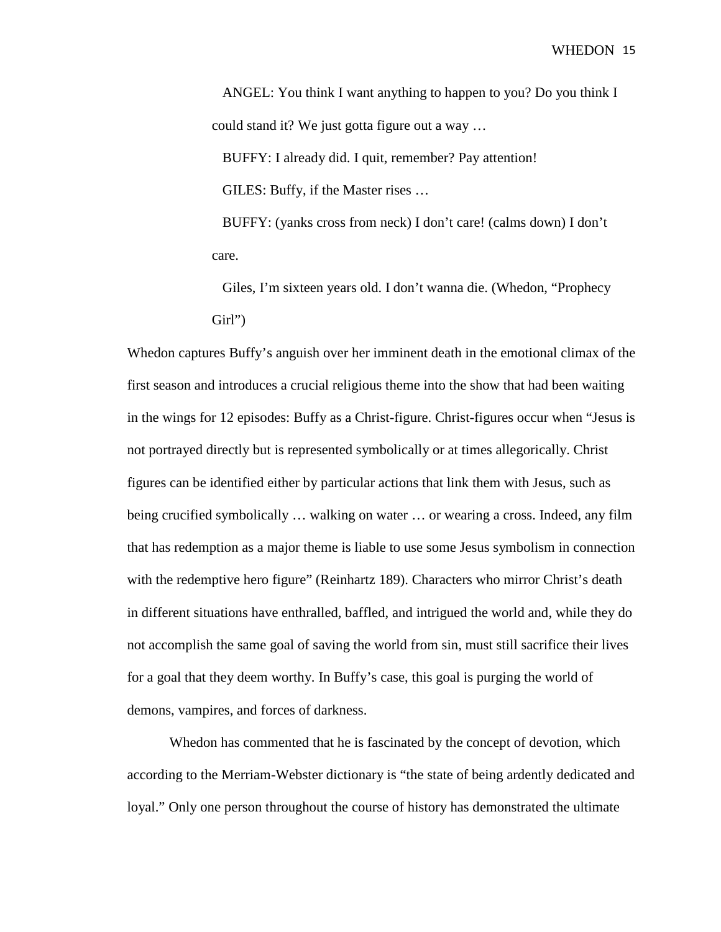ANGEL: You think I want anything to happen to you? Do you think I could stand it? We just gotta figure out a way …

BUFFY: I already did. I quit, remember? Pay attention!

GILES: Buffy, if the Master rises …

 BUFFY: (yanks cross from neck) I don't care! (calms down) I don't care.

 Giles, I'm sixteen years old. I don't wanna die. (Whedon, "Prophecy Girl")

Whedon captures Buffy's anguish over her imminent death in the emotional climax of the first season and introduces a crucial religious theme into the show that had been waiting in the wings for 12 episodes: Buffy as a Christ-figure. Christ-figures occur when "Jesus is not portrayed directly but is represented symbolically or at times allegorically. Christ figures can be identified either by particular actions that link them with Jesus, such as being crucified symbolically … walking on water … or wearing a cross. Indeed, any film that has redemption as a major theme is liable to use some Jesus symbolism in connection with the redemptive hero figure" (Reinhartz 189). Characters who mirror Christ's death in different situations have enthralled, baffled, and intrigued the world and, while they do not accomplish the same goal of saving the world from sin, must still sacrifice their lives for a goal that they deem worthy. In Buffy's case, this goal is purging the world of demons, vampires, and forces of darkness.

Whedon has commented that he is fascinated by the concept of devotion, which according to the Merriam-Webster dictionary is "the state of being ardently dedicated and loyal." Only one person throughout the course of history has demonstrated the ultimate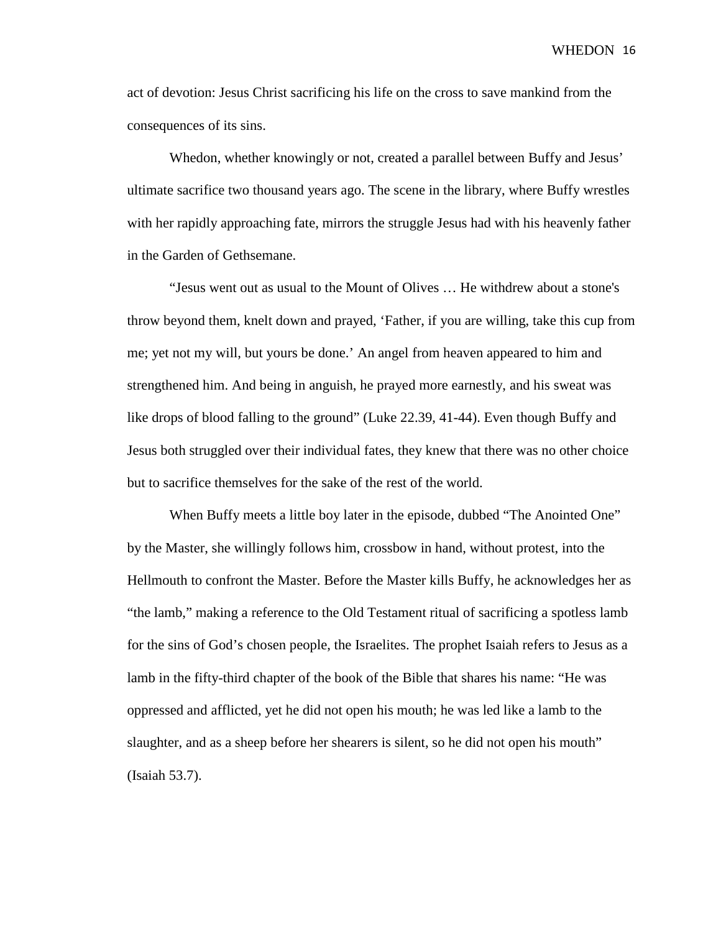act of devotion: Jesus Christ sacrificing his life on the cross to save mankind from the consequences of its sins.

Whedon, whether knowingly or not, created a parallel between Buffy and Jesus' ultimate sacrifice two thousand years ago. The scene in the library, where Buffy wrestles with her rapidly approaching fate, mirrors the struggle Jesus had with his heavenly father in the Garden of Gethsemane.

"Jesus went out as usual to the Mount of Olives … He withdrew about a stone's throw beyond them, knelt down and prayed, 'Father, if you are willing, take this cup from me; yet not my will, but yours be done.' An angel from heaven appeared to him and strengthened him. And being in anguish, he prayed more earnestly, and his sweat was like drops of blood falling to the ground" (Luke 22.39, 41-44). Even though Buffy and Jesus both struggled over their individual fates, they knew that there was no other choice but to sacrifice themselves for the sake of the rest of the world.

When Buffy meets a little boy later in the episode, dubbed "The Anointed One" by the Master, she willingly follows him, crossbow in hand, without protest, into the Hellmouth to confront the Master. Before the Master kills Buffy, he acknowledges her as "the lamb," making a reference to the Old Testament ritual of sacrificing a spotless lamb for the sins of God's chosen people, the Israelites. The prophet Isaiah refers to Jesus as a lamb in the fifty-third chapter of the book of the Bible that shares his name: "He was oppressed and afflicted, yet he did not open his mouth; he was led like a lamb to the slaughter, and as a sheep before her shearers is silent, so he did not open his mouth" (Isaiah 53.7).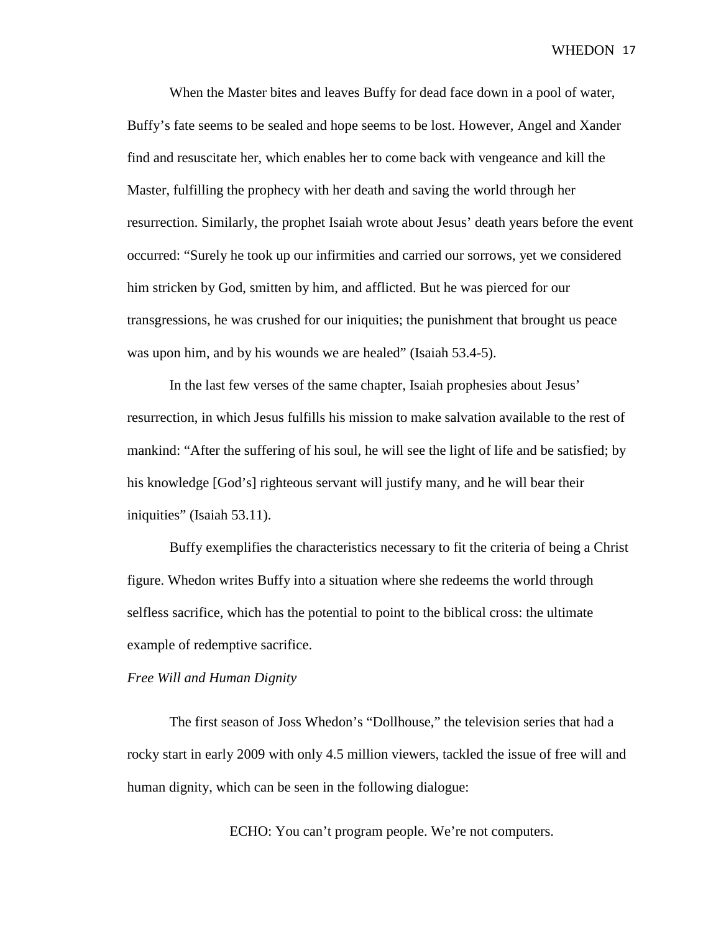When the Master bites and leaves Buffy for dead face down in a pool of water, Buffy's fate seems to be sealed and hope seems to be lost. However, Angel and Xander find and resuscitate her, which enables her to come back with vengeance and kill the Master, fulfilling the prophecy with her death and saving the world through her resurrection. Similarly, the prophet Isaiah wrote about Jesus' death years before the event occurred: "Surely he took up our infirmities and carried our sorrows, yet we considered him stricken by God, smitten by him, and afflicted. But he was pierced for our transgressions, he was crushed for our iniquities; the punishment that brought us peace was upon him, and by his wounds we are healed" (Isaiah 53.4-5).

In the last few verses of the same chapter, Isaiah prophesies about Jesus' resurrection, in which Jesus fulfills his mission to make salvation available to the rest of mankind: "After the suffering of his soul, he will see the light of life and be satisfied; by his knowledge [God's] righteous servant will justify many, and he will bear their iniquities" (Isaiah 53.11).

Buffy exemplifies the characteristics necessary to fit the criteria of being a Christ figure. Whedon writes Buffy into a situation where she redeems the world through selfless sacrifice, which has the potential to point to the biblical cross: the ultimate example of redemptive sacrifice.

#### *Free Will and Human Dignity*

 The first season of Joss Whedon's "Dollhouse," the television series that had a rocky start in early 2009 with only 4.5 million viewers, tackled the issue of free will and human dignity, which can be seen in the following dialogue:

ECHO: You can't program people. We're not computers.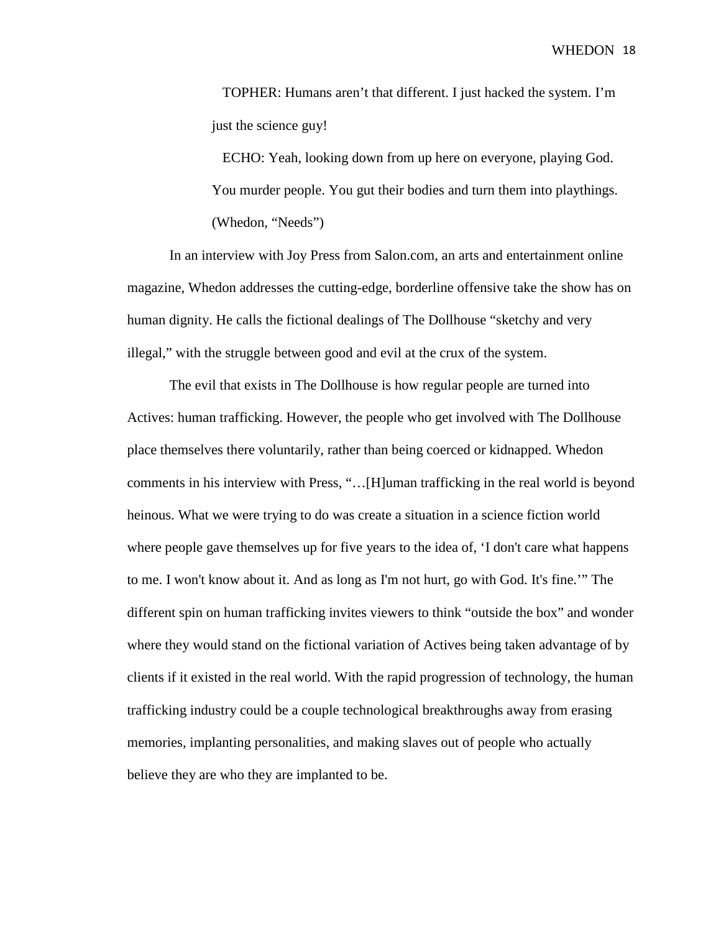TOPHER: Humans aren't that different. I just hacked the system. I'm just the science guy!

 ECHO: Yeah, looking down from up here on everyone, playing God. You murder people. You gut their bodies and turn them into playthings. (Whedon, "Needs")

 In an interview with Joy Press from Salon.com, an arts and entertainment online magazine, Whedon addresses the cutting-edge, borderline offensive take the show has on human dignity. He calls the fictional dealings of The Dollhouse "sketchy and very illegal," with the struggle between good and evil at the crux of the system.

 The evil that exists in The Dollhouse is how regular people are turned into Actives: human trafficking. However, the people who get involved with The Dollhouse place themselves there voluntarily, rather than being coerced or kidnapped. Whedon comments in his interview with Press, "…[H]uman trafficking in the real world is beyond heinous. What we were trying to do was create a situation in a science fiction world where people gave themselves up for five years to the idea of, 'I don't care what happens to me. I won't know about it. And as long as I'm not hurt, go with God. It's fine.'" The different spin on human trafficking invites viewers to think "outside the box" and wonder where they would stand on the fictional variation of Actives being taken advantage of by clients if it existed in the real world. With the rapid progression of technology, the human trafficking industry could be a couple technological breakthroughs away from erasing memories, implanting personalities, and making slaves out of people who actually believe they are who they are implanted to be.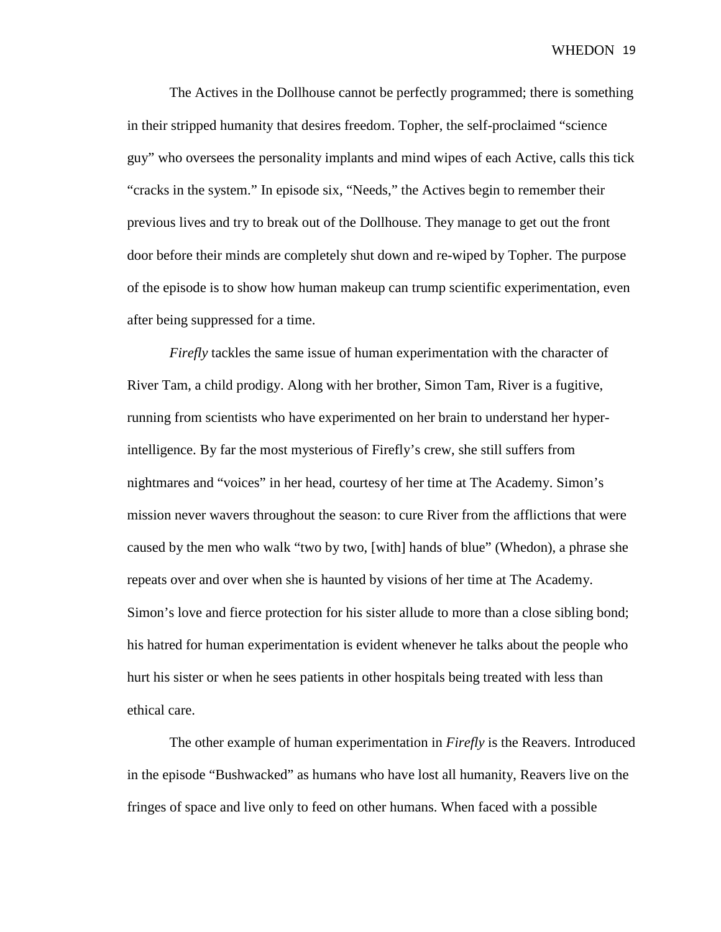The Actives in the Dollhouse cannot be perfectly programmed; there is something in their stripped humanity that desires freedom. Topher, the self-proclaimed "science guy" who oversees the personality implants and mind wipes of each Active, calls this tick "cracks in the system." In episode six, "Needs," the Actives begin to remember their previous lives and try to break out of the Dollhouse. They manage to get out the front door before their minds are completely shut down and re-wiped by Topher. The purpose of the episode is to show how human makeup can trump scientific experimentation, even after being suppressed for a time.

*Firefly* tackles the same issue of human experimentation with the character of River Tam, a child prodigy. Along with her brother, Simon Tam, River is a fugitive, running from scientists who have experimented on her brain to understand her hyperintelligence. By far the most mysterious of Firefly's crew, she still suffers from nightmares and "voices" in her head, courtesy of her time at The Academy. Simon's mission never wavers throughout the season: to cure River from the afflictions that were caused by the men who walk "two by two, [with] hands of blue" (Whedon), a phrase she repeats over and over when she is haunted by visions of her time at The Academy. Simon's love and fierce protection for his sister allude to more than a close sibling bond; his hatred for human experimentation is evident whenever he talks about the people who hurt his sister or when he sees patients in other hospitals being treated with less than ethical care.

 The other example of human experimentation in *Firefly* is the Reavers. Introduced in the episode "Bushwacked" as humans who have lost all humanity, Reavers live on the fringes of space and live only to feed on other humans. When faced with a possible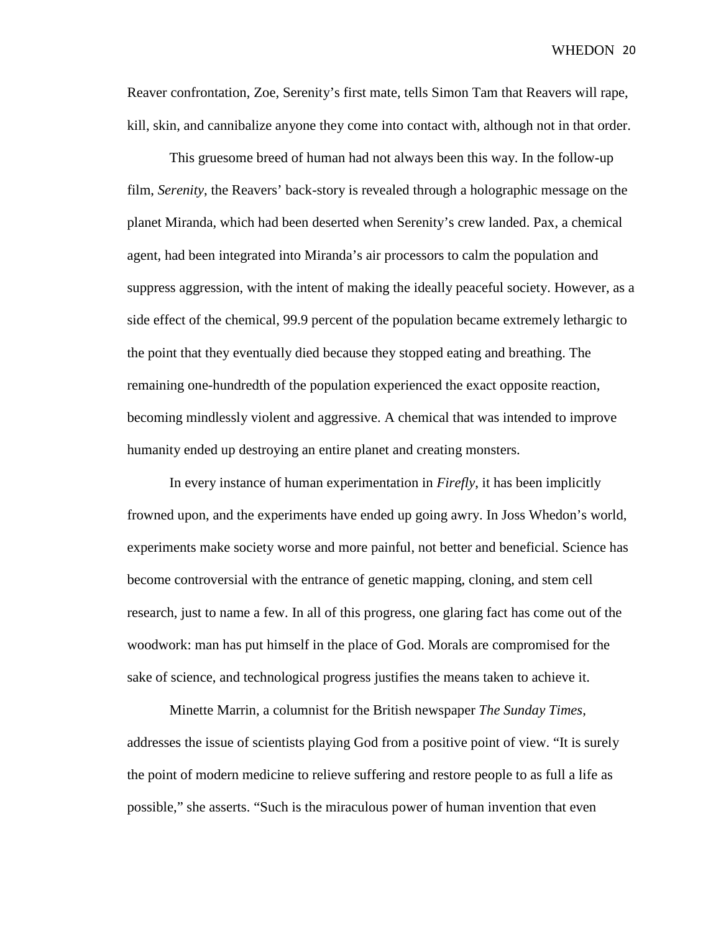Reaver confrontation, Zoe, Serenity's first mate, tells Simon Tam that Reavers will rape, kill, skin, and cannibalize anyone they come into contact with, although not in that order.

 This gruesome breed of human had not always been this way. In the follow-up film, *Serenity*, the Reavers' back-story is revealed through a holographic message on the planet Miranda, which had been deserted when Serenity's crew landed. Pax, a chemical agent, had been integrated into Miranda's air processors to calm the population and suppress aggression, with the intent of making the ideally peaceful society. However, as a side effect of the chemical, 99.9 percent of the population became extremely lethargic to the point that they eventually died because they stopped eating and breathing. The remaining one-hundredth of the population experienced the exact opposite reaction, becoming mindlessly violent and aggressive. A chemical that was intended to improve humanity ended up destroying an entire planet and creating monsters.

 In every instance of human experimentation in *Firefly*, it has been implicitly frowned upon, and the experiments have ended up going awry. In Joss Whedon's world, experiments make society worse and more painful, not better and beneficial. Science has become controversial with the entrance of genetic mapping, cloning, and stem cell research, just to name a few. In all of this progress, one glaring fact has come out of the woodwork: man has put himself in the place of God. Morals are compromised for the sake of science, and technological progress justifies the means taken to achieve it.

 Minette Marrin, a columnist for the British newspaper *The Sunday Times*, addresses the issue of scientists playing God from a positive point of view. "It is surely the point of modern medicine to relieve suffering and restore people to as full a life as possible," she asserts. "Such is the miraculous power of human invention that even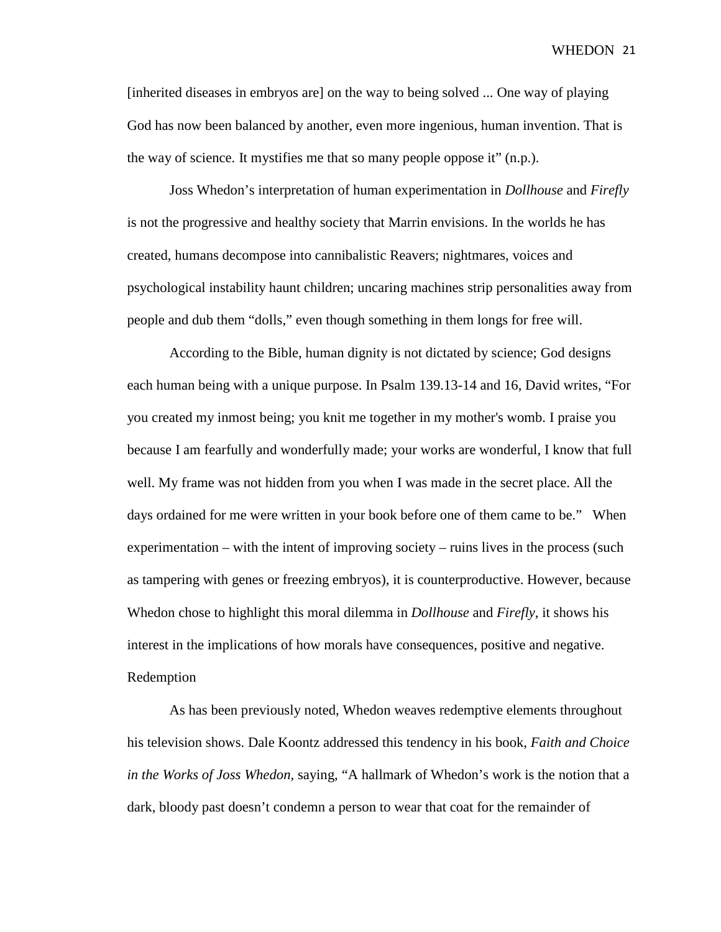[inherited diseases in embryos are] on the way to being solved ... One way of playing God has now been balanced by another, even more ingenious, human invention. That is the way of science. It mystifies me that so many people oppose it" (n.p.).

Joss Whedon's interpretation of human experimentation in *Dollhouse* and *Firefly*  is not the progressive and healthy society that Marrin envisions. In the worlds he has created, humans decompose into cannibalistic Reavers; nightmares, voices and psychological instability haunt children; uncaring machines strip personalities away from people and dub them "dolls," even though something in them longs for free will.

According to the Bible, human dignity is not dictated by science; God designs each human being with a unique purpose. In Psalm 139.13-14 and 16, David writes, "For you created my inmost being; you knit me together in my mother's womb. I praise you because I am fearfully and wonderfully made; your works are wonderful, I know that full well. My frame was not hidden from you when I was made in the secret place. All the days ordained for me were written in your book before one of them came to be." When experimentation – with the intent of improving society – ruins lives in the process (such as tampering with genes or freezing embryos), it is counterproductive. However, because Whedon chose to highlight this moral dilemma in *Dollhouse* and *Firefly*, it shows his interest in the implications of how morals have consequences, positive and negative. Redemption

As has been previously noted, Whedon weaves redemptive elements throughout his television shows. Dale Koontz addressed this tendency in his book, *Faith and Choice in the Works of Joss Whedon*, saying, "A hallmark of Whedon's work is the notion that a dark, bloody past doesn't condemn a person to wear that coat for the remainder of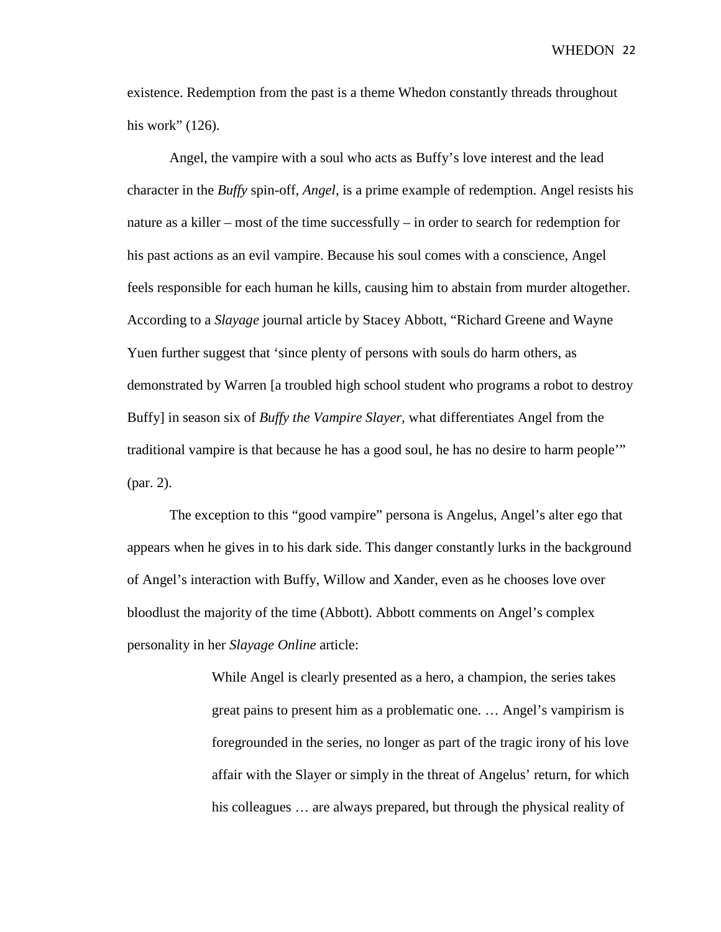existence. Redemption from the past is a theme Whedon constantly threads throughout his work" (126).

Angel, the vampire with a soul who acts as Buffy's love interest and the lead character in the *Buffy* spin-off, *Angel*, is a prime example of redemption. Angel resists his nature as a killer – most of the time successfully – in order to search for redemption for his past actions as an evil vampire. Because his soul comes with a conscience, Angel feels responsible for each human he kills, causing him to abstain from murder altogether. According to a *Slayage* journal article by Stacey Abbott, "Richard Greene and Wayne Yuen further suggest that 'since plenty of persons with souls do harm others, as demonstrated by Warren [a troubled high school student who programs a robot to destroy Buffy] in season six of *Buffy the Vampire Slayer,* what differentiates Angel from the traditional vampire is that because he has a good soul, he has no desire to harm people'" (par. 2).

The exception to this "good vampire" persona is Angelus, Angel's alter ego that appears when he gives in to his dark side. This danger constantly lurks in the background of Angel's interaction with Buffy, Willow and Xander, even as he chooses love over bloodlust the majority of the time (Abbott). Abbott comments on Angel's complex personality in her *Slayage Online* article:

> While Angel is clearly presented as a hero, a champion, the series takes great pains to present him as a problematic one. … Angel's vampirism is foregrounded in the series, no longer as part of the tragic irony of his love affair with the Slayer or simply in the threat of Angelus' return, for which his colleagues … are always prepared, but through the physical reality of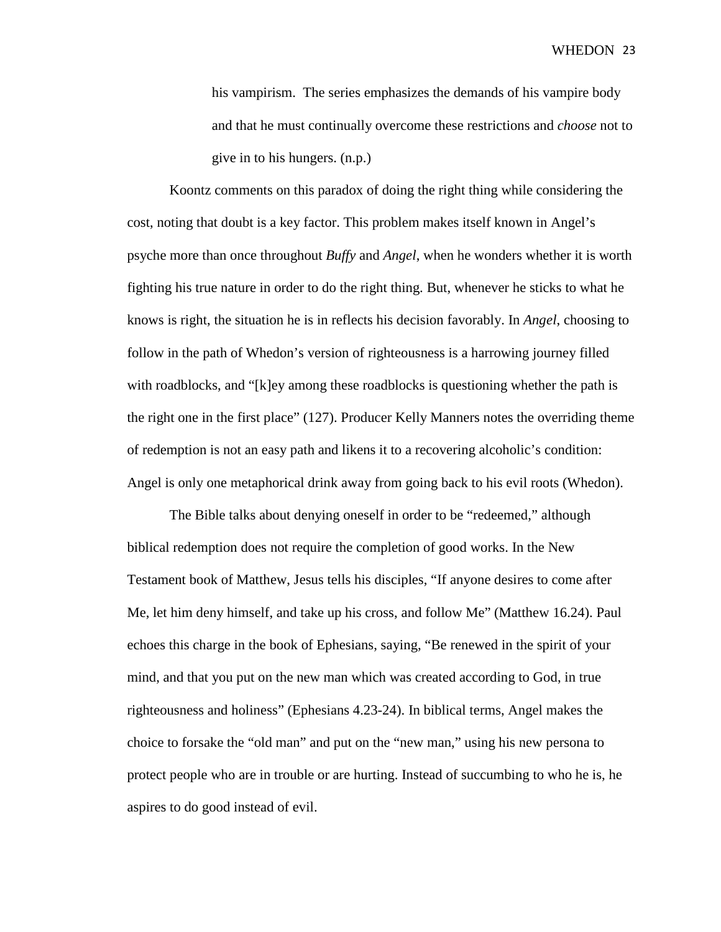his vampirism. The series emphasizes the demands of his vampire body and that he must continually overcome these restrictions and *choose* not to give in to his hungers. (n.p.)

 Koontz comments on this paradox of doing the right thing while considering the cost, noting that doubt is a key factor. This problem makes itself known in Angel's psyche more than once throughout *Buffy* and *Angel*, when he wonders whether it is worth fighting his true nature in order to do the right thing. But, whenever he sticks to what he knows is right, the situation he is in reflects his decision favorably. In *Angel*, choosing to follow in the path of Whedon's version of righteousness is a harrowing journey filled with roadblocks, and "[k]ey among these roadblocks is questioning whether the path is the right one in the first place" (127). Producer Kelly Manners notes the overriding theme of redemption is not an easy path and likens it to a recovering alcoholic's condition: Angel is only one metaphorical drink away from going back to his evil roots (Whedon).

 The Bible talks about denying oneself in order to be "redeemed," although biblical redemption does not require the completion of good works. In the New Testament book of Matthew, Jesus tells his disciples, "If anyone desires to come after Me, let him deny himself, and take up his cross, and follow Me" (Matthew 16.24). Paul echoes this charge in the book of Ephesians, saying, "Be renewed in the spirit of your mind, and that you put on the new man which was created according to God, in true righteousness and holiness" (Ephesians 4.23-24). In biblical terms, Angel makes the choice to forsake the "old man" and put on the "new man," using his new persona to protect people who are in trouble or are hurting. Instead of succumbing to who he is, he aspires to do good instead of evil.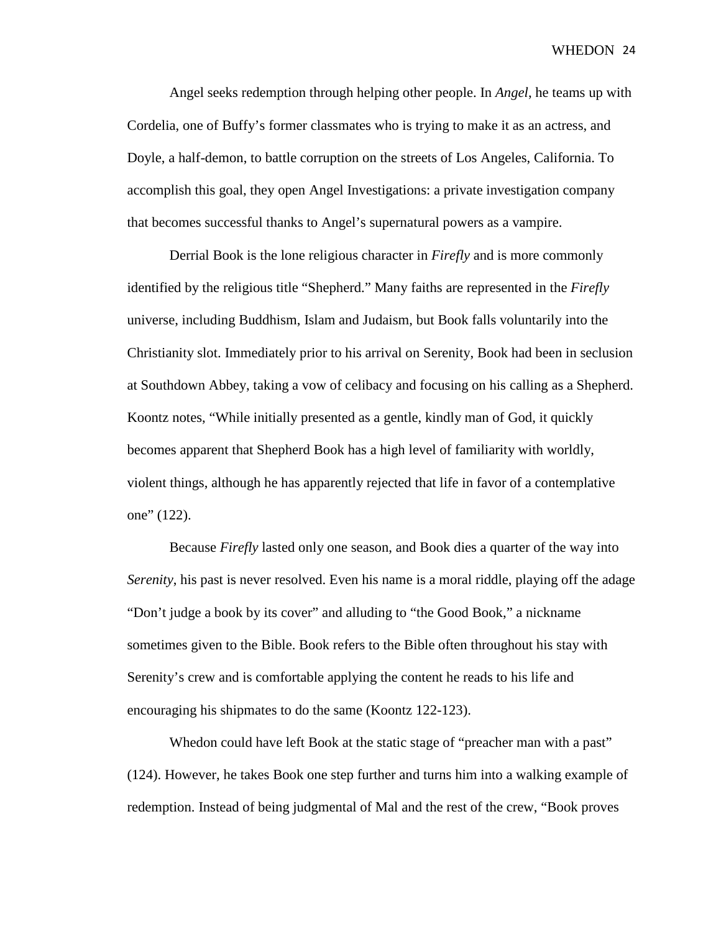Angel seeks redemption through helping other people. In *Angel*, he teams up with Cordelia, one of Buffy's former classmates who is trying to make it as an actress, and Doyle, a half-demon, to battle corruption on the streets of Los Angeles, California. To accomplish this goal, they open Angel Investigations: a private investigation company that becomes successful thanks to Angel's supernatural powers as a vampire.

Derrial Book is the lone religious character in *Firefly* and is more commonly identified by the religious title "Shepherd." Many faiths are represented in the *Firefly*  universe, including Buddhism, Islam and Judaism, but Book falls voluntarily into the Christianity slot. Immediately prior to his arrival on Serenity, Book had been in seclusion at Southdown Abbey, taking a vow of celibacy and focusing on his calling as a Shepherd. Koontz notes, "While initially presented as a gentle, kindly man of God, it quickly becomes apparent that Shepherd Book has a high level of familiarity with worldly, violent things, although he has apparently rejected that life in favor of a contemplative one" (122).

Because *Firefly* lasted only one season, and Book dies a quarter of the way into *Serenity*, his past is never resolved. Even his name is a moral riddle, playing off the adage "Don't judge a book by its cover" and alluding to "the Good Book," a nickname sometimes given to the Bible. Book refers to the Bible often throughout his stay with Serenity's crew and is comfortable applying the content he reads to his life and encouraging his shipmates to do the same (Koontz 122-123).

Whedon could have left Book at the static stage of "preacher man with a past" (124). However, he takes Book one step further and turns him into a walking example of redemption. Instead of being judgmental of Mal and the rest of the crew, "Book proves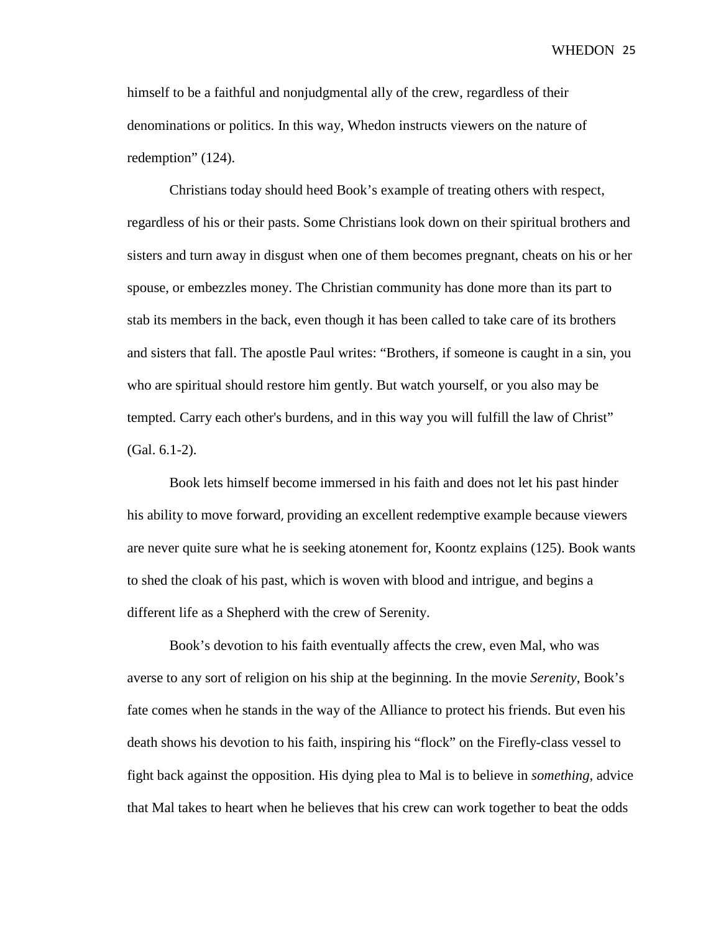himself to be a faithful and nonjudgmental ally of the crew, regardless of their denominations or politics. In this way, Whedon instructs viewers on the nature of redemption" (124).

Christians today should heed Book's example of treating others with respect, regardless of his or their pasts. Some Christians look down on their spiritual brothers and sisters and turn away in disgust when one of them becomes pregnant, cheats on his or her spouse, or embezzles money. The Christian community has done more than its part to stab its members in the back, even though it has been called to take care of its brothers and sisters that fall. The apostle Paul writes: "Brothers, if someone is caught in a sin, you who are spiritual should restore him gently. But watch yourself, or you also may be tempted. Carry each other's burdens, and in this way you will fulfill the law of Christ" (Gal. 6.1-2).

 Book lets himself become immersed in his faith and does not let his past hinder his ability to move forward, providing an excellent redemptive example because viewers are never quite sure what he is seeking atonement for, Koontz explains (125). Book wants to shed the cloak of his past, which is woven with blood and intrigue, and begins a different life as a Shepherd with the crew of Serenity.

 Book's devotion to his faith eventually affects the crew, even Mal, who was averse to any sort of religion on his ship at the beginning. In the movie *Serenity*, Book's fate comes when he stands in the way of the Alliance to protect his friends. But even his death shows his devotion to his faith, inspiring his "flock" on the Firefly-class vessel to fight back against the opposition. His dying plea to Mal is to believe in *something*, advice that Mal takes to heart when he believes that his crew can work together to beat the odds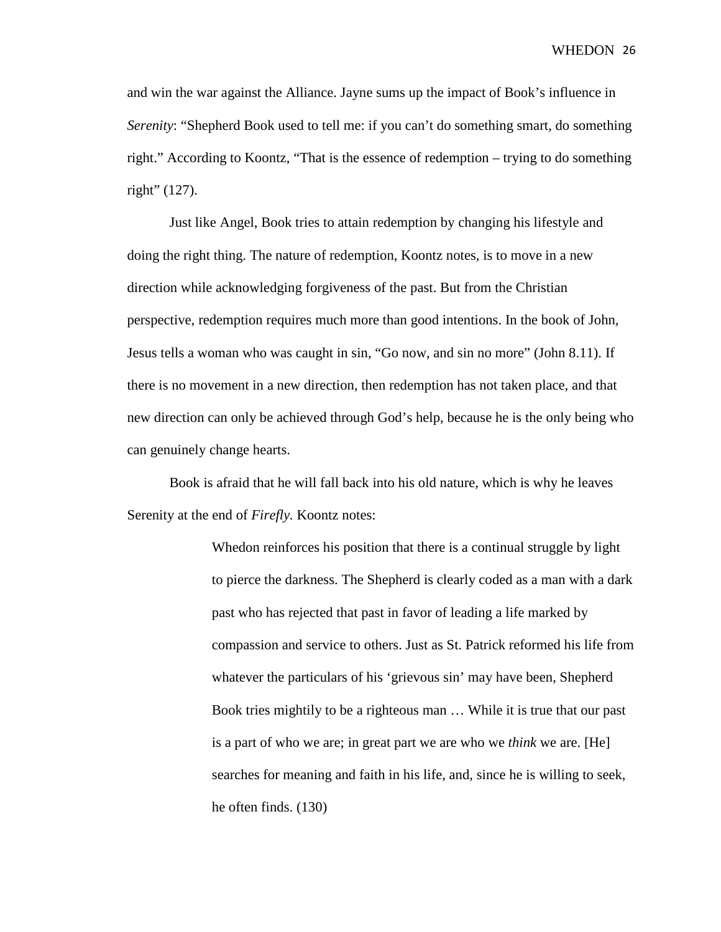and win the war against the Alliance. Jayne sums up the impact of Book's influence in *Serenity*: "Shepherd Book used to tell me: if you can't do something smart, do something right." According to Koontz, "That is the essence of redemption – trying to do something right" (127).

 Just like Angel, Book tries to attain redemption by changing his lifestyle and doing the right thing. The nature of redemption, Koontz notes, is to move in a new direction while acknowledging forgiveness of the past. But from the Christian perspective, redemption requires much more than good intentions. In the book of John, Jesus tells a woman who was caught in sin, "Go now, and sin no more" (John 8.11). If there is no movement in a new direction, then redemption has not taken place, and that new direction can only be achieved through God's help, because he is the only being who can genuinely change hearts.

 Book is afraid that he will fall back into his old nature, which is why he leaves Serenity at the end of *Firefly*. Koontz notes:

> Whedon reinforces his position that there is a continual struggle by light to pierce the darkness. The Shepherd is clearly coded as a man with a dark past who has rejected that past in favor of leading a life marked by compassion and service to others. Just as St. Patrick reformed his life from whatever the particulars of his 'grievous sin' may have been, Shepherd Book tries mightily to be a righteous man … While it is true that our past is a part of who we are; in great part we are who we *think* we are. [He] searches for meaning and faith in his life, and, since he is willing to seek, he often finds. (130)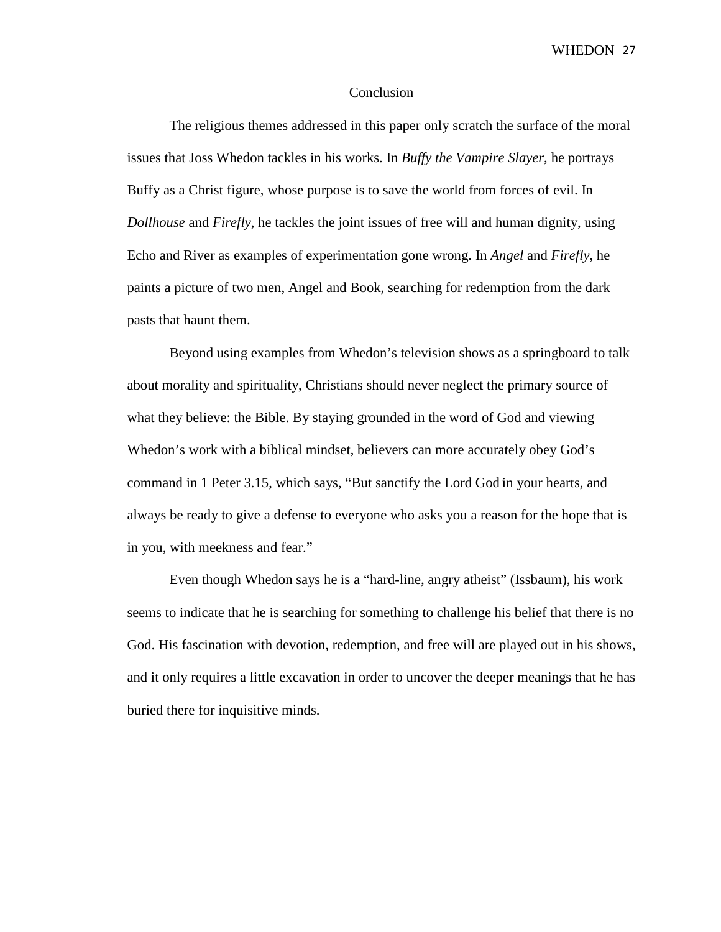#### Conclusion

 The religious themes addressed in this paper only scratch the surface of the moral issues that Joss Whedon tackles in his works. In *Buffy the Vampire Slayer*, he portrays Buffy as a Christ figure, whose purpose is to save the world from forces of evil. In *Dollhouse* and *Firefly*, he tackles the joint issues of free will and human dignity, using Echo and River as examples of experimentation gone wrong. In *Angel* and *Firefly*, he paints a picture of two men, Angel and Book, searching for redemption from the dark pasts that haunt them.

 Beyond using examples from Whedon's television shows as a springboard to talk about morality and spirituality, Christians should never neglect the primary source of what they believe: the Bible. By staying grounded in the word of God and viewing Whedon's work with a biblical mindset, believers can more accurately obey God's command in 1 Peter 3.15, which says, "But sanctify the Lord God in your hearts, and always be ready to give a defense to everyone who asks you a reason for the hope that is in you, with meekness and fear."

 Even though Whedon says he is a "hard-line, angry atheist" (Issbaum), his work seems to indicate that he is searching for something to challenge his belief that there is no God. His fascination with devotion, redemption, and free will are played out in his shows, and it only requires a little excavation in order to uncover the deeper meanings that he has buried there for inquisitive minds.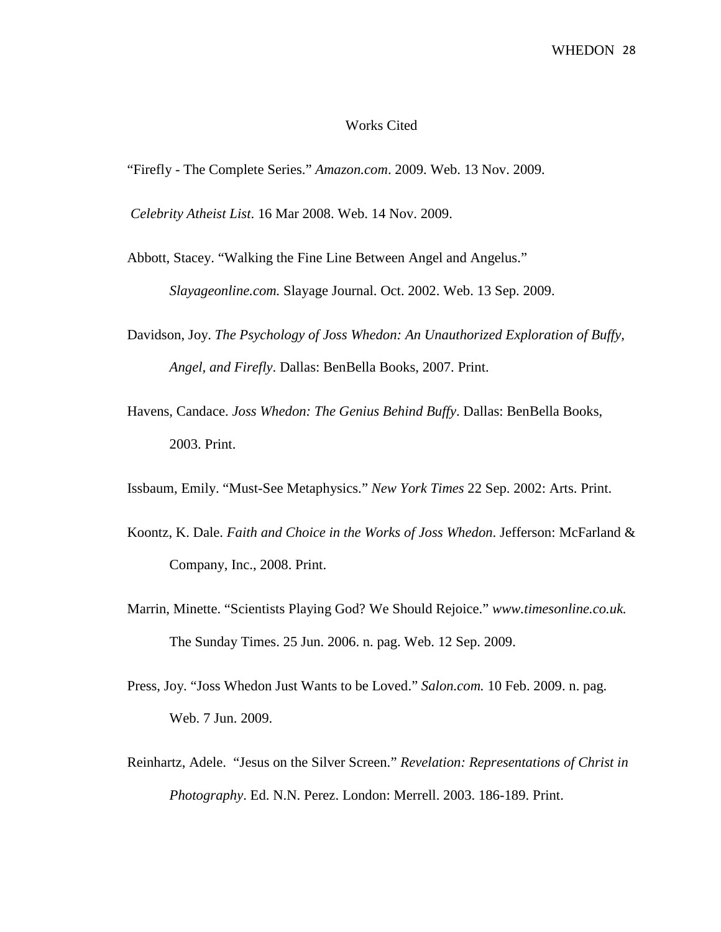## Works Cited

"Firefly - The Complete Series." *Amazon.com*. 2009. Web. 13 Nov. 2009.

*Celebrity Atheist List*. 16 Mar 2008. Web. 14 Nov. 2009.

Abbott, Stacey. "Walking the Fine Line Between Angel and Angelus." *Slayageonline.com.* Slayage Journal. Oct. 2002. Web. 13 Sep. 2009.

- Davidson, Joy. *The Psychology of Joss Whedon: An Unauthorized Exploration of Buffy, Angel, and Firefly*. Dallas: BenBella Books, 2007. Print.
- Havens, Candace. *Joss Whedon: The Genius Behind Buffy*. Dallas: BenBella Books, 2003. Print.
- Issbaum, Emily. "Must-See Metaphysics." *New York Times* 22 Sep. 2002: Arts. Print.
- Koontz, K. Dale. *Faith and Choice in the Works of Joss Whedon*. Jefferson: McFarland & Company, Inc., 2008. Print.
- Marrin, Minette. "Scientists Playing God? We Should Rejoice." *www.timesonline.co.uk.*  The Sunday Times. 25 Jun. 2006. n. pag. Web. 12 Sep. 2009.
- Press, Joy. "Joss Whedon Just Wants to be Loved." *Salon.com.* 10 Feb. 2009. n. pag. Web. 7 Jun. 2009.
- Reinhartz, Adele. "Jesus on the Silver Screen." *Revelation: Representations of Christ in Photography*. Ed. N.N. Perez. London: Merrell. 2003. 186-189. Print.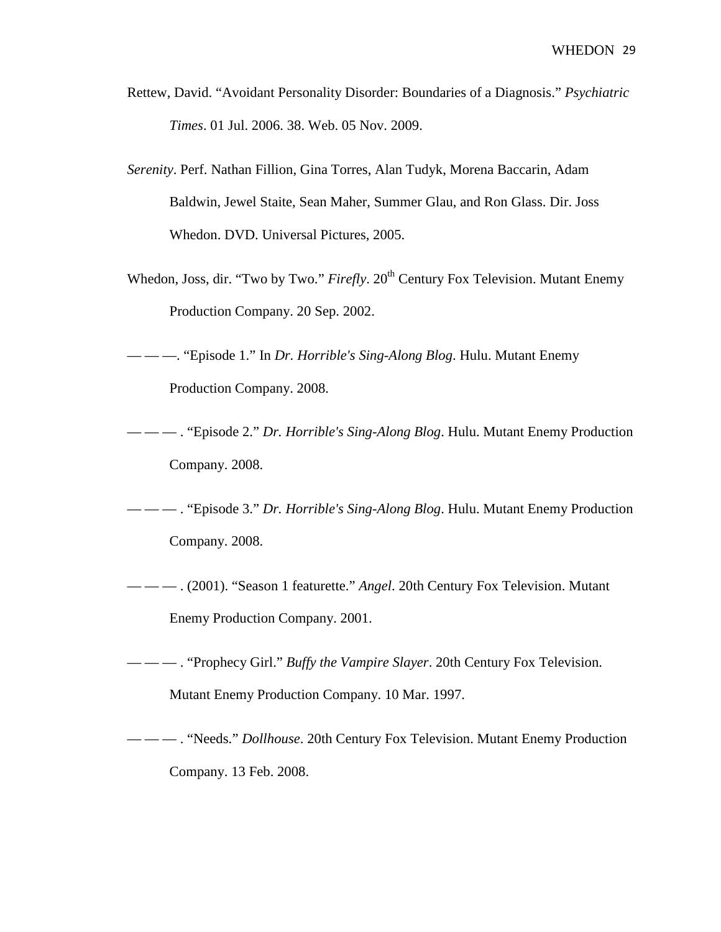- Rettew, David. "Avoidant Personality Disorder: Boundaries of a Diagnosis." *Psychiatric Times*. 01 Jul. 2006. 38. Web. 05 Nov. 2009.
- *Serenity*. Perf. Nathan Fillion, Gina Torres, Alan Tudyk, Morena Baccarin, Adam Baldwin, Jewel Staite, Sean Maher, Summer Glau, and Ron Glass. Dir. Joss Whedon. DVD. Universal Pictures, 2005.
- Whedon, Joss, dir. "Two by Two." *Firefly*. 20<sup>th</sup> Century Fox Television. Mutant Enemy Production Company. 20 Sep. 2002.
- — —. "Episode 1." In *Dr. Horrible's Sing-Along Blog*. Hulu. Mutant Enemy Production Company. 2008.
- — . "Episode 2." *Dr. Horrible's Sing-Along Blog*. Hulu. Mutant Enemy Production Company. 2008.
- — . "Episode 3." *Dr. Horrible's Sing-Along Blog*. Hulu. Mutant Enemy Production Company. 2008.
- — . (2001). "Season 1 featurette." *Angel*. 20th Century Fox Television. Mutant Enemy Production Company. 2001.
- — . "Prophecy Girl." *Buffy the Vampire Slayer*. 20th Century Fox Television. Mutant Enemy Production Company. 10 Mar. 1997.
- — . "Needs." *Dollhouse*. 20th Century Fox Television. Mutant Enemy Production Company. 13 Feb. 2008.